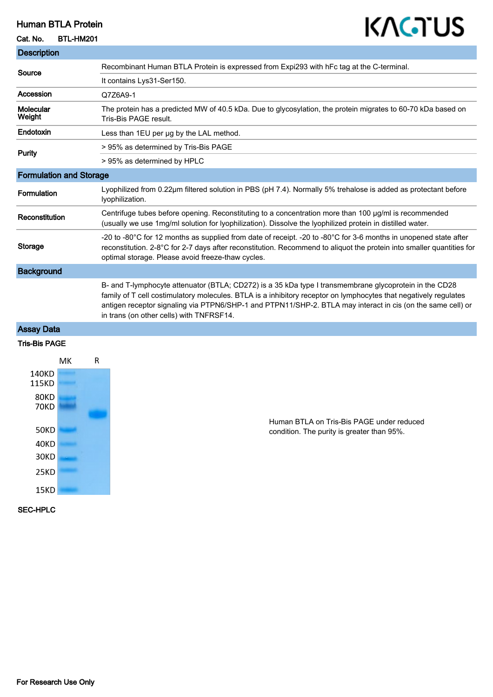## Human BTLA Protein

### Cat. No. BTL-HM201

**The State** 

# KAGTUS

| <b>Description</b>             |                                                                                                                                                                                                                                                                                                                                                                                       |
|--------------------------------|---------------------------------------------------------------------------------------------------------------------------------------------------------------------------------------------------------------------------------------------------------------------------------------------------------------------------------------------------------------------------------------|
| Source                         | Recombinant Human BTLA Protein is expressed from Expi293 with hFc tag at the C-terminal.                                                                                                                                                                                                                                                                                              |
|                                | It contains Lys31-Ser150.                                                                                                                                                                                                                                                                                                                                                             |
| Accession                      | Q7Z6A9-1                                                                                                                                                                                                                                                                                                                                                                              |
| <b>Molecular</b><br>Weight     | The protein has a predicted MW of 40.5 kDa. Due to glycosylation, the protein migrates to 60-70 kDa based on<br>Tris-Bis PAGE result.                                                                                                                                                                                                                                                 |
| <b>Endotoxin</b>               | Less than 1EU per ug by the LAL method.                                                                                                                                                                                                                                                                                                                                               |
| <b>Purity</b>                  | > 95% as determined by Tris-Bis PAGE                                                                                                                                                                                                                                                                                                                                                  |
|                                | > 95% as determined by HPLC                                                                                                                                                                                                                                                                                                                                                           |
| <b>Formulation and Storage</b> |                                                                                                                                                                                                                                                                                                                                                                                       |
| <b>Formulation</b>             | Lyophilized from 0.22µm filtered solution in PBS (pH 7.4). Normally 5% trehalose is added as protectant before<br>lyophilization.                                                                                                                                                                                                                                                     |
| Reconstitution                 | Centrifuge tubes before opening. Reconstituting to a concentration more than 100 µg/ml is recommended<br>(usually we use 1mg/ml solution for lyophilization). Dissolve the lyophilized protein in distilled water.                                                                                                                                                                    |
| <b>Storage</b>                 | -20 to -80°C for 12 months as supplied from date of receipt. -20 to -80°C for 3-6 months in unopened state after<br>reconstitution. 2-8°C for 2-7 days after reconstitution. Recommend to aliquot the protein into smaller quantities for<br>optimal storage. Please avoid freeze-thaw cycles.                                                                                        |
| <b>Background</b>              |                                                                                                                                                                                                                                                                                                                                                                                       |
|                                | B- and T-lymphocyte attenuator (BTLA; CD272) is a 35 kDa type I transmembrane glycoprotein in the CD28<br>family of T cell costimulatory molecules. BTLA is a inhibitory receptor on lymphocytes that negatively regulates<br>antigen receptor signaling via PTPN6/SHP-1 and PTPN11/SHP-2. BTLA may interact in cis (on the same cell) or<br>in trans (on other cells) with TNFRSF14. |
| <b>Assay Data</b>              |                                                                                                                                                                                                                                                                                                                                                                                       |

## Tris-Bis PAGE



Human BTLA on Tris-Bis PAGE under reduced condition. The purity is greater than 95%.

## SEC-HPLC